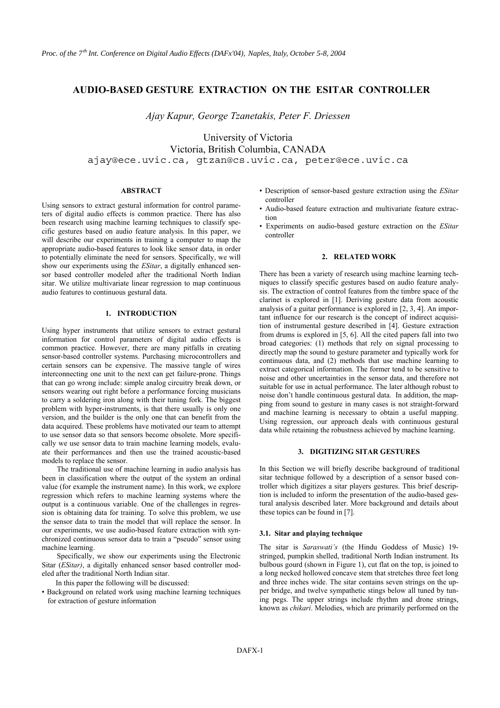# **AUDIO-BASED GESTURE EXTRACTION ON THE ESITAR CONTROLLER**

*Ajay Kapur, George Tzanetakis, Peter F. Driessen* 

University of Victoria Victoria, British Columbia, CANADA ajay@ece.uvic.ca, gtzan@cs.uvic.ca, peter@ece.uvic.ca

# **ABSTRACT**

Using sensors to extract gestural information for control parameters of digital audio effects is common practice. There has also been research using machine learning techniques to classify specific gestures based on audio feature analysis. In this paper, we will describe our experiments in training a computer to map the appropriate audio-based features to look like sensor data, in order to potentially eliminate the need for sensors. Specifically, we will show our experiments using the *ESitar*, a digitally enhanced sensor based controller modeled after the traditional North Indian sitar. We utilize multivariate linear regression to map continuous audio features to continuous gestural data.

# **1. INTRODUCTION**

Using hyper instruments that utilize sensors to extract gestural information for control parameters of digital audio effects is common practice. However, there are many pitfalls in creating sensor-based controller systems. Purchasing microcontrollers and certain sensors can be expensive. The massive tangle of wires interconnecting one unit to the next can get failure-prone. Things that can go wrong include: simple analog circuitry break down, or sensors wearing out right before a performance forcing musicians to carry a soldering iron along with their tuning fork. The biggest problem with hyper-instruments, is that there usually is only one version, and the builder is the only one that can benefit from the data acquired. These problems have motivated our team to attempt to use sensor data so that sensors become obsolete. More specifically we use sensor data to train machine learning models, evaluate their performances and then use the trained acoustic-based models to replace the sensor.

The traditional use of machine learning in audio analysis has been in classification where the output of the system an ordinal value (for example the instrument name). In this work, we explore regression which refers to machine learning systems where the output is a continuous variable. One of the challenges in regression is obtaining data for training. To solve this problem, we use the sensor data to train the model that will replace the sensor. In our experiments, we use audio-based feature extraction with synchronized continuous sensor data to train a "pseudo" sensor using machine learning.

Specifically, we show our experiments using the Electronic Sitar (*ESitar)*, a digitally enhanced sensor based controller modeled after the traditional North Indian sitar.

In this paper the following will be discussed:

• Background on related work using machine learning techniques for extraction of gesture information

- Description of sensor-based gesture extraction using the *ESitar*  controller
- Audio-based feature extraction and multivariate feature extraction
- Experiments on audio-based gesture extraction on the *ESitar*  controller

### **2. RELATED WORK**

There has been a variety of research using machine learning techniques to classify specific gestures based on audio feature analysis. The extraction of control features from the timbre space of the clarinet is explored in [1]. Deriving gesture data from acoustic analysis of a guitar performance is explored in [2, 3, 4]. An important influence for our research is the concept of indirect acquisition of instrumental gesture described in [4]. Gesture extraction from drums is explored in [5, 6]. All the cited papers fall into two broad categories: (1) methods that rely on signal processing to directly map the sound to gesture parameter and typically work for continuous data, and (2) methods that use machine learning to extract categorical information. The former tend to be sensitive to noise and other uncertainties in the sensor data, and therefore not suitable for use in actual performance. The later although robust to noise don't handle continuous gestural data. In addition, the mapping from sound to gesture in many cases is not straight-forward and machine learning is necessary to obtain a useful mapping. Using regression, our approach deals with continuous gestural data while retaining the robustness achieved by machine learning.

### **3. DIGITIZING SITAR GESTURES**

In this Section we will briefly describe background of traditional sitar technique followed by a description of a sensor based controller which digitizes a sitar players gestures. This brief description is included to inform the presentation of the audio-based gestural analysis described later. More background and details about these topics can be found in [7].

#### **3.1. Sitar and playing technique**

The sitar is *Saraswati's* (the Hindu Goddess of Music) 19 stringed, pumpkin shelled, traditional North Indian instrument. Its bulbous gourd (shown in Figure 1), cut flat on the top, is joined to a long necked hollowed concave stem that stretches three feet long and three inches wide. The sitar contains seven strings on the upper bridge, and twelve sympathetic stings below all tuned by tuning pegs. The upper strings include rhythm and drone strings, known as *chikari*. Melodies, which are primarily performed on the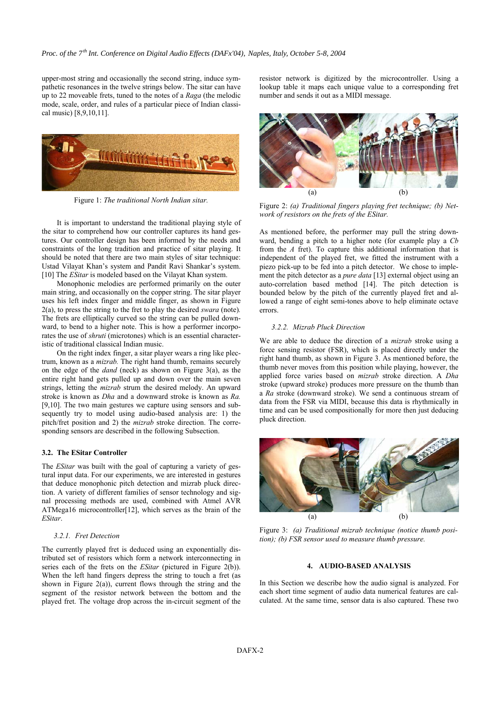upper-most string and occasionally the second string, induce sympathetic resonances in the twelve strings below. The sitar can have up to 22 moveable frets, tuned to the notes of a *Raga* (the melodic mode, scale, order, and rules of a particular piece of Indian classical music) [8,9,10,11].



Figure 1: *The traditional North Indian sitar.* 

It is important to understand the traditional playing style of the sitar to comprehend how our controller captures its hand gestures. Our controller design has been informed by the needs and constraints of the long tradition and practice of sitar playing. It should be noted that there are two main styles of sitar technique: Ustad Vilayat Khan's system and Pandit Ravi Shankar's system. [10] The *ESitar* is modeled based on the Vilayat Khan system.

Monophonic melodies are performed primarily on the outer main string, and occasionally on the copper string. The sitar player uses his left index finger and middle finger, as shown in Figure 2(a), to press the string to the fret to play the desired *swara* (note)*.* The frets are elliptically curved so the string can be pulled downward, to bend to a higher note. This is how a performer incorporates the use of *shruti* (microtones) which is an essential characteristic of traditional classical Indian music.

On the right index finger, a sitar player wears a ring like plectrum, known as a *mizrab.* The right hand thumb, remains securely on the edge of the *dand* (neck) as shown on Figure 3(a), as the entire right hand gets pulled up and down over the main seven strings, letting the *mizrab* strum the desired melody. An upward stroke is known as *Dha* and a downward stroke is known as *Ra.*  [9,10]. The two main gestures we capture using sensors and subsequently try to model using audio-based analysis are: 1) the pitch/fret position and 2) the *mizrab* stroke direction. The corresponding sensors are described in the following Subsection.

#### **3.2. The ESitar Controller**

The *ESitar* was built with the goal of capturing a variety of gestural input data. For our experiments, we are interested in gestures that deduce monophonic pitch detection and mizrab pluck direction. A variety of different families of sensor technology and signal processing methods are used, combined with Atmel AVR ATMega16 microcontroller[12], which serves as the brain of the *ESitar*.

#### *3.2.1. Fret Detection*

The currently played fret is deduced using an exponentially distributed set of resistors which form a network interconnecting in series each of the frets on the *ESitar* (pictured in Figure 2(b)). When the left hand fingers depress the string to touch a fret (as shown in Figure  $2(a)$ ), current flows through the string and the segment of the resistor network between the bottom and the played fret. The voltage drop across the in-circuit segment of the resistor network is digitized by the microcontroller. Using a lookup table it maps each unique value to a corresponding fret number and sends it out as a MIDI message.



Figure 2: *(a) Traditional fingers playing fret technique; (b) Network of resistors on the frets of the ESitar.*

As mentioned before, the performer may pull the string downward, bending a pitch to a higher note (for example play a *Cb*  from the *A* fret). To capture this additional information that is independent of the played fret, we fitted the instrument with a piezo pick-up to be fed into a pitch detector. We chose to implement the pitch detector as a *pure data* [13] external object using an auto-correlation based method [14]. The pitch detection is bounded below by the pitch of the currently played fret and allowed a range of eight semi-tones above to help eliminate octave errors.

### *3.2.2. Mizrab Pluck Direction*

We are able to deduce the direction of a *mizrab* stroke using a force sensing resistor (FSR), which is placed directly under the right hand thumb, as shown in Figure 3. As mentioned before, the thumb never moves from this position while playing, however, the applied force varies based on *mizrab* stroke direction. A *Dha*  stroke (upward stroke) produces more pressure on the thumb than a *Ra* stroke (downward stroke). We send a continuous stream of data from the FSR via MIDI, because this data is rhythmically in time and can be used compositionally for more then just deducing pluck direction.



Figure 3: *(a) Traditional mizrab technique (notice thumb position); (b) FSR sensor used to measure thumb pressure.* 

# **4. AUDIO-BASED ANALYSIS**

In this Section we describe how the audio signal is analyzed. For each short time segment of audio data numerical features are calculated. At the same time, sensor data is also captured. These two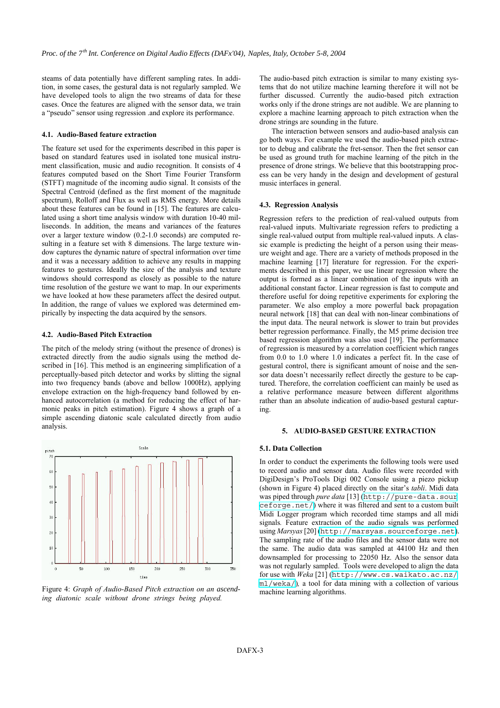steams of data potentially have different sampling rates. In addition, in some cases, the gestural data is not regularly sampled. We have developed tools to align the two streams of data for these cases. Once the features are aligned with the sensor data, we train a "pseudo" sensor using regression .and explore its performance.

# **4.1. Audio-Based feature extraction**

The feature set used for the experiments described in this paper is based on standard features used in isolated tone musical instrument classification, music and audio recognition. It consists of 4 features computed based on the Short Time Fourier Transform (STFT) magnitude of the incoming audio signal. It consists of the Spectral Centroid (defined as the first moment of the magnitude spectrum), Rolloff and Flux as well as RMS energy. More details about these features can be found in [15]. The features are calculated using a short time analysis window with duration 10-40 milliseconds. In addition, the means and variances of the features over a larger texture window (0.2-1.0 seconds) are computed resulting in a feature set with 8 dimensions. The large texture window captures the dynamic nature of spectral information over time and it was a necessary addition to achieve any results in mapping features to gestures. Ideally the size of the analysis and texture windows should correspond as closely as possible to the nature time resolution of the gesture we want to map. In our experiments we have looked at how these parameters affect the desired output. In addition, the range of values we explored was determined empirically by inspecting the data acquired by the sensors.

# **4.2. Audio-Based Pitch Extraction**

The pitch of the melody string (without the presence of drones) is extracted directly from the audio signals using the method described in [16]. This method is an engineering simplification of a perceptually-based pitch detector and works by slitting the signal into two frequency bands (above and bellow 1000Hz), applying envelope extraction on the high-frequency band followed by enhanced autocorrelation (a method for reducing the effect of harmonic peaks in pitch estimation). Figure 4 shows a graph of a simple ascending diatonic scale calculated directly from audio analysis.



Figure 4: *Graph of Audio-Based Pitch extraction on an ascending diatonic scale without drone strings being played.* 

The audio-based pitch extraction is similar to many existing systems that do not utilize machine learning therefore it will not be further discussed. Currently the audio-based pitch extraction works only if the drone strings are not audible. We are planning to explore a machine learning approach to pitch extraction when the drone strings are sounding in the future.

The interaction between sensors and audio-based analysis can go both ways. For example we used the audio-based pitch extractor to debug and calibrate the fret-sensor. Then the fret sensor can be used as ground truth for machine learning of the pitch in the presence of drone strings. We believe that this bootstrapping process can be very handy in the design and development of gestural music interfaces in general.

#### **4.3. Regression Analysis**

Regression refers to the prediction of real-valued outputs from real-valued inputs. Multivariate regression refers to predicting a single real-valued output from multiple real-valued inputs. A classic example is predicting the height of a person using their measure weight and age. There are a variety of methods proposed in the machine learning [17] literature for regression. For the experiments described in this paper, we use linear regression where the output is formed as a linear combination of the inputs with an additional constant factor. Linear regression is fast to compute and therefore useful for doing repetitive experiments for exploring the parameter. We also employ a more powerful back propagation neural network [18] that can deal with non-linear combinations of the input data. The neural network is slower to train but provides better regression performance. Finally, the M5 prime decision tree based regression algorithm was also used [19]. The performance of regression is measured by a correlation coefficient which ranges from 0.0 to 1.0 where 1.0 indicates a perfect fit. In the case of gestural control, there is significant amount of noise and the sensor data doesn't necessarily reflect directly the gesture to be captured. Therefore, the correlation coefficient can mainly be used as a relative performance measure between different algorithms rather than an absolute indication of audio-based gestural capturing.

#### **5. AUDIO-BASED GESTURE EXTRACTION**

#### **5.1. Data Collection**

In order to conduct the experiments the following tools were used to record audio and sensor data. Audio files were recorded with DigiDesign's ProTools Digi 002 Console using a piezo pickup (shown in Figure 4) placed directly on the sitar's *tabli*. Midi data was piped through *pure data* [13] ([http://pure-data.sour](http://pure-data.sourceforge.net/) [ceforge.net/](http://pure-data.sourceforge.net/)) where it was filtered and sent to a custom built Midi Logger program which recorded time stamps and all midi signals*.* Feature extraction of the audio signals was performed using *Marsyas* [20] (<http://marsyas.sourceforge.net>). The sampling rate of the audio files and the sensor data were not the same. The audio data was sampled at 44100 Hz and then downsampled for processing to 22050 Hz. Also the sensor data was not regularly sampled. Tools were developed to align the data for use with *Weka* [21] ([http://www.cs.waikato.ac.nz/](http://www.cs.waikato.ac.nz/ml/weka/) [ml/weka/](http://www.cs.waikato.ac.nz/ml/weka/))*,* a tool for data mining with a collection of various machine learning algorithms.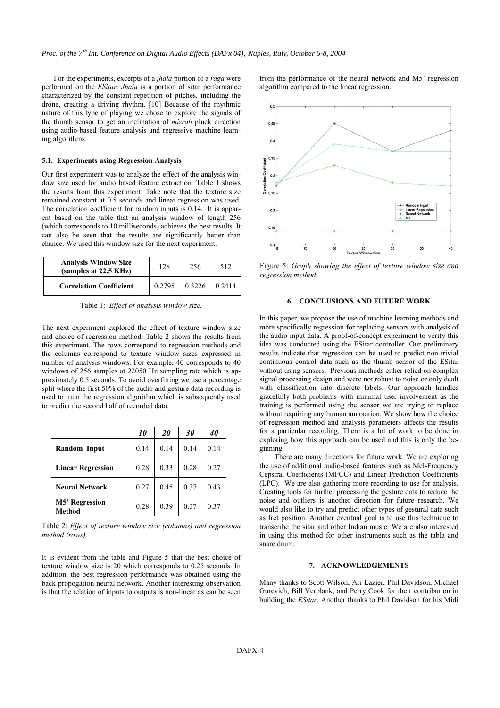For the experiments, excerpts of a *jhala* portion of a *raga* were performed on the *ESitar*. *Jhala* is a portion of sitar performance characterized by the constant repetition of pitches, including the drone, creating a driving rhythm. [10] Because of the rhythmic nature of this type of playing we chose to explore the signals of the thumb sensor to get an inclination of *mizrab* pluck direction using audio-based feature analysis and regressive machine learning algorithms.

### **5.1. Experiments using Regression Analysis**

Our first experiment was to analyze the effect of the analysis window size used for audio based feature extraction. Table 1 shows the results from this experiment. Take note that the texture size remained constant at 0.5 seconds and linear regression was used. The correlation coefficient for random inputs is 0.14. It is apparent based on the table that an analysis window of length 256 (which corresponds to 10 milliseconds) achieves the best results. It can also be seen that the results are significantly better than chance. We used this window size for the next experiment.

| <b>Analysis Window Size</b><br>(samples at 22.5 KHz) | 128    | 256    | 512    |
|------------------------------------------------------|--------|--------|--------|
| <b>Correlation Coefficient</b>                       | 0.2795 | 0.3226 | 0.2414 |

Table 1: *Effect of analysis window size.* 

The next experiment explored the effect of texture window size and choice of regression method. Table 2 shows the results from this experiment. The rows correspond to regression methods and the columns correspond to texture window sizes expressed in number of analysis windows. For example, 40 corresponds to 40 windows of 256 samples at 22050 Hz sampling rate which is approximately 0.5 seconds. To avoid overfitting we use a percentage split where the first 50% of the audio and gesture data recording is used to train the regression algorithm which is subsequently used to predict the second half of recorded data.

|                          | <i>10</i> | 20   | 30   | 40   |
|--------------------------|-----------|------|------|------|
| Random Input             | 0.14      | 0.14 | 0.14 | 0.14 |
| <b>Linear Regression</b> | 0.28      | 0.33 | 0.28 | 0.27 |
| <b>Neural Network</b>    | 0.27      | 0.45 | 0.37 | 0.43 |
| M5' Regression<br>Method | 0.28      | 0.39 | 0.37 | 0.37 |

Table 2: *Effect of texture window size (columns) and regression method (rows).* 

It is evident from the table and Figure 5 that the best choice of texture window size is 20 which corresponds to 0.25 seconds. In addition, the best regression performance was obtained using the back propogation neural network. Another interesting observation is that the relation of inputs to outputs is non-linear as can be seen

from the performance of the neural network and M5' regression algorithm compared to the linear regression.



Figure 5: *Graph showing the effect of texture window size and regression method.* 

### **6. CONCLUSIONS AND FUTURE WORK**

In this paper, we propose the use of machine learning methods and more specifically regression for replacing sensors with analysis of the audio input data. A proof-of-concept experiment to verify this idea was conducted using the ESitar controller. Our preliminary results indicate that regression can be used to predict non-trivial continuous control data such as the thumb sensor of the ESitar without using sensors. Previous methods either relied on complex signal processing design and were not robust to noise or only dealt with classification into discrete labels. Our approach handles gracefully both problems with minimal user involvement as the training is performed using the sensor we are trying to replace without requiring any human annotation. We show how the choice of regression method and analysis parameters affects the results for a particular recording. There is a lot of work to be done in exploring how this approach can be used and this is only the beginning.

There are many directions for future work. We are exploring the use of additional audio-based features such as Mel-Frequency Cepstral Coefficients (MFCC) and Linear Prediction Coefficients (LPC). We are also gathering more recording to use for analysis. Creating tools for further processing the gesture data to reduce the noise and outliers is another direction for future research. We would also like to try and predict other types of gestural data such as fret position. Another eventual goal is to use this technique to transcribe the sitar and other Indian music. We are also interested in using this method for other instruments such as the tabla and snare drum.

# **7. ACKNOWLEDGEMENTS**

Many thanks to Scott Wilson, Ari Lazier, Phil Davidson, Michael Gurevich, Bill Verplank, and Perry Cook for their contribution in building the *ESitar*. Another thanks to Phil Davidson for his Midi